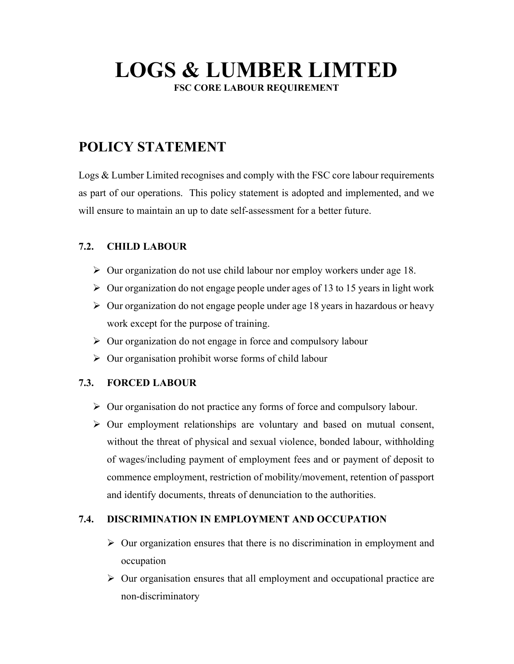# LOGS & LUMBER LIMTED

FSC CORE LABOUR REQUIREMENT

# POLICY STATEMENT

Logs & Lumber Limited recognises and comply with the FSC core labour requirements as part of our operations. This policy statement is adopted and implemented, and we will ensure to maintain an up to date self-assessment for a better future.

## 7.2. CHILD LABOUR

- $\triangleright$  Our organization do not use child labour nor employ workers under age 18.
- $\triangleright$  Our organization do not engage people under ages of 13 to 15 years in light work
- $\triangleright$  Our organization do not engage people under age 18 years in hazardous or heavy work except for the purpose of training.
- $\triangleright$  Our organization do not engage in force and compulsory labour
- $\triangleright$  Our organisation prohibit worse forms of child labour

## 7.3. FORCED LABOUR

- $\triangleright$  Our organisation do not practice any forms of force and compulsory labour.
- $\triangleright$  Our employment relationships are voluntary and based on mutual consent, without the threat of physical and sexual violence, bonded labour, withholding of wages/including payment of employment fees and or payment of deposit to commence employment, restriction of mobility/movement, retention of passport and identify documents, threats of denunciation to the authorities.

## 7.4. DISCRIMINATION IN EMPLOYMENT AND OCCUPATION

- $\triangleright$  Our organization ensures that there is no discrimination in employment and occupation
- $\triangleright$  Our organisation ensures that all employment and occupational practice are non-discriminatory